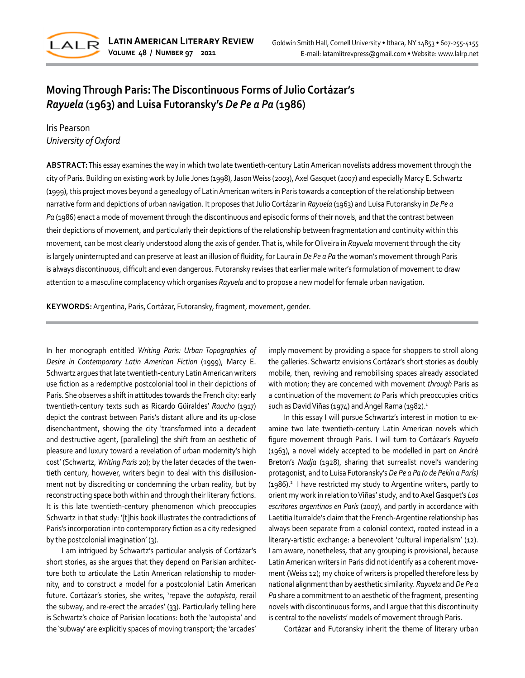

# **Moving Through Paris: The Discontinuous Forms of Julio Cortázar's**  *Rayuela* **(1963) and Luisa Futoransky's** *De Pe a Pa* **(1986)**

Iris Pearson *University of Oxford*

**ABSTRACT:** This essay examines the way in which two late twentieth-century Latin American novelists address movement through the city of Paris. Building on existing work by Julie Jones (1998), Jason Weiss (2003), Axel Gasquet (2007) and especially Marcy E. Schwartz (1999), this project moves beyond a genealogy of Latin American writers in Paris towards a conception of the relationship between narrative form and depictions of urban navigation. It proposes that Julio Cortázar in *Rayuela* (1963) and Luisa Futoransky in *De Pe a Pa* (1986) enact a mode of movement through the discontinuous and episodic forms of their novels, and that the contrast between their depictions of movement, and particularly their depictions of the relationship between fragmentation and continuity within this movement, can be most clearly understood along the axis of gender. That is, while for Oliveira in *Rayuela* movement through the city is largely uninterrupted and can preserve at least an illusion of fluidity, for Laura in *De Pe a Pa* the woman's movement through Paris is always discontinuous, difficult and even dangerous. Futoransky revises that earlier male writer's formulation of movement to draw attention to a masculine complacency which organises *Rayuela* and to propose a new model for female urban navigation.

**KEYWORDS:** Argentina, Paris, Cortázar, Futoransky, fragment, movement, gender.

In her monograph entitled *Writing Paris: Urban Topographies of Desire in Contemporary Latin American Fiction* (1999), Marcy E. Schwartz argues that late twentieth-century Latin American writers use fiction as a redemptive postcolonial tool in their depictions of Paris. She observes a shift in attitudes towards the French city: early twentieth-century texts such as Ricardo Güiraldes' *Raucho* (1917) depict the contrast between Paris's distant allure and its up-close disenchantment, showing the city 'transformed into a decadent and destructive agent, [paralleling] the shift from an aesthetic of pleasure and luxury toward a revelation of urban modernity's high cost' (Schwartz, *Writing Paris* 20); by the later decades of the twentieth century, however, writers begin to deal with this disillusionment not by discrediting or condemning the urban reality, but by reconstructing space both within and through their literary fictions. It is this late twentieth-century phenomenon which preoccupies Schwartz in that study: '[t]his book illustrates the contradictions of Paris's incorporation into contemporary fiction as a city redesigned by the postcolonial imagination' (3).

I am intrigued by Schwartz's particular analysis of Cortázar's short stories, as she argues that they depend on Parisian architecture both to articulate the Latin American relationship to modernity, and to construct a model for a postcolonial Latin American future. Cortázar's stories, she writes, 'repave the *autopista*, rerail the subway, and re-erect the arcades' (33). Particularly telling here is Schwartz's choice of Parisian locations: both the 'autopista' and the 'subway' are explicitly spaces of moving transport; the 'arcades'

imply movement by providing a space for shoppers to stroll along the galleries. Schwartz envisions Cortázar's short stories as doubly mobile, then, reviving and remobilising spaces already associated with motion; they are concerned with movement *through* Paris as a continuation of the movement *to* Paris which preoccupies critics such as David Viñas (1974) and Ángel Rama (1982).<sup>1</sup>

In this essay I will pursue Schwartz's interest in motion to examine two late twentieth-century Latin American novels which figure movement through Paris. I will turn to Cortázar's *Rayuela* (1963), a novel widely accepted to be modelled in part on André Breton's *Nadja* (1928), sharing that surrealist novel's wandering protagonist, and to Luisa Futoransky's *De Pe a Pa (o de Pekín a París)* (1986).<sup>2</sup> I have restricted my study to Argentine writers, partly to orient my work in relation to Viñas' study, and to Axel Gasquet's *Los escritores argentinos en París* (2007), and partly in accordance with Laetitia Iturralde's claim that the French-Argentine relationship has always been separate from a colonial context, rooted instead in a literary-artistic exchange: a benevolent 'cultural imperialism' (12). I am aware, nonetheless, that any grouping is provisional, because Latin American writers in Paris did not identify as a coherent movement (Weiss 12); my choice of writers is propelled therefore less by national alignment than by aesthetic similarity. *Rayuela* and *De Pe a Pa* share a commitment to an aesthetic of the fragment, presenting novels with discontinuous forms, and I argue that this discontinuity is central to the novelists' models of movement through Paris.

Cortázar and Futoransky inherit the theme of literary urban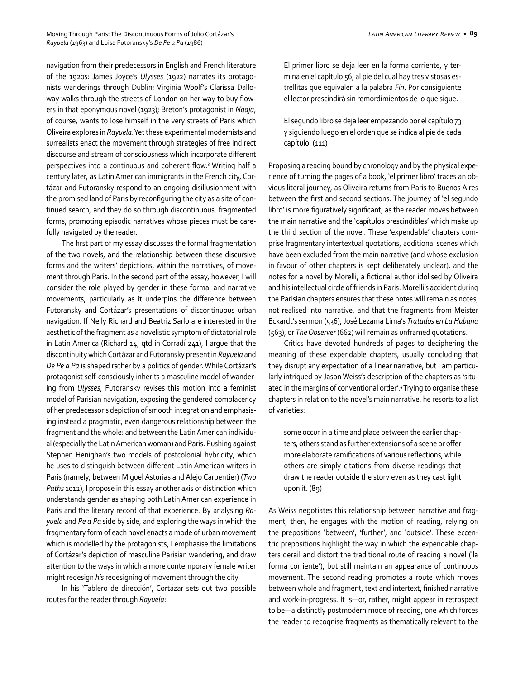navigation from their predecessors in English and French literature of the 1920s: James Joyce's *Ulysses* (1922) narrates its protagonists wanderings through Dublin; Virginia Woolf's Clarissa Dalloway walks through the streets of London on her way to buy flowers in that eponymous novel (1923); Breton's protagonist in *Nadja*, of course, wants to lose himself in the very streets of Paris which Oliveira explores in *Rayuela*. Yet these experimental modernists and surrealists enact the movement through strategies of free indirect discourse and stream of consciousness which incorporate different perspectives into a continuous and coherent flow.<sup>3</sup> Writing half a century later, as Latin American immigrants in the French city, Cortázar and Futoransky respond to an ongoing disillusionment with the promised land of Paris by reconfiguring the city as a site of continued search, and they do so through discontinuous, fragmented forms, promoting episodic narratives whose pieces must be carefully navigated by the reader.

The first part of my essay discusses the formal fragmentation of the two novels, and the relationship between these discursive forms and the writers' depictions, within the narratives, of movement through Paris. In the second part of the essay, however, I will consider the role played by gender in these formal and narrative movements, particularly as it underpins the difference between Futoransky and Cortázar's presentations of discontinuous urban navigation. If Nelly Richard and Beatriz Sarlo are interested in the aesthetic of the fragment as a novelistic symptom of dictatorial rule in Latin America (Richard 14; qtd in Corradí 241), I argue that the discontinuity which Cortázar and Futoransky present in *Rayuela* and *De Pe a Pa* is shaped rather by a politics of gender. While Cortázar's protagonist self-consciously inherits a masculine model of wandering from *Ulysses*, Futoransky revises this motion into a feminist model of Parisian navigation, exposing the gendered complacency of her predecessor's depiction of smooth integration and emphasising instead a pragmatic, even dangerous relationship between the fragment and the whole: and between the Latin American individual (especially the Latin American woman) and Paris. Pushing against Stephen Henighan's two models of postcolonial hybridity, which he uses to distinguish between different Latin American writers in Paris (namely, between Miguel Asturias and Alejo Carpentier) (*Two Paths* 1012), I propose in this essay another axis of distinction which understands gender as shaping both Latin American experience in Paris and the literary record of that experience. By analysing *Rayuela* and *Pe a Pa* side by side, and exploring the ways in which the fragmentary form of each novel enacts a mode of urban movement which is modelled by the protagonists, I emphasise the limitations of Cortázar's depiction of masculine Parisian wandering, and draw attention to the ways in which a more contemporary female writer might redesign *his* redesigning of movement through the city.

In his 'Tablero de dirección', Cortázar sets out two possible routes for the reader through *Rayuela*:

El primer libro se deja leer en la forma corriente, y termina en el capítulo 56, al pie del cual hay tres vistosas estrellitas que equivalen a la palabra *Fin*. Por consiguiente el lector prescindirá sin remordimientos de lo que sigue.

El segundo libro se deja leer empezando por el capítulo 73 y siguiendo luego en el orden que se indica al pie de cada capítulo. (111)

Proposing a reading bound by chronology and by the physical experience of turning the pages of a book, 'el primer libro' traces an obvious literal journey, as Oliveira returns from Paris to Buenos Aires between the first and second sections. The journey of 'el segundo libro' is more figuratively significant, as the reader moves between the main narrative and the 'capítulos prescindibles' which make up the third section of the novel. These 'expendable' chapters comprise fragmentary intertextual quotations, additional scenes which have been excluded from the main narrative (and whose exclusion in favour of other chapters is kept deliberately unclear), and the notes for a novel by Morelli, a fictional author idolised by Oliveira and his intellectual circle of friends in Paris. Morelli's accident during the Parisian chapters ensures that these notes will remain as notes, not realised into narrative, and that the fragments from Meister Eckardt's sermon (536), José Lezama Lima's *Tratados en La Habana*  (563), or *The Observer* (662) will remain as unframed quotations.

Critics have devoted hundreds of pages to deciphering the meaning of these expendable chapters, usually concluding that they disrupt any expectation of a linear narrative, but I am particularly intrigued by Jason Weiss's description of the chapters as 'situated in the margins of conventional order'.4 Trying to organise these chapters in relation to the novel's main narrative, he resorts to a list of varieties:

some occur in a time and place between the earlier chapters, others stand as further extensions of a scene or offer more elaborate ramifications of various reflections, while others are simply citations from diverse readings that draw the reader outside the story even as they cast light upon it. (89)

As Weiss negotiates this relationship between narrative and fragment, then, he engages with the motion of reading, relying on the prepositions 'between', 'further', and 'outside'. These eccentric prepositions highlight the way in which the expendable chapters derail and distort the traditional route of reading a novel ('la forma corriente'), but still maintain an appearance of continuous movement. The second reading promotes a route which moves between whole and fragment, text and intertext, finished narrative and work-in-progress. It is—or, rather, might appear in retrospect to be—a distinctly postmodern mode of reading, one which forces the reader to recognise fragments as thematically relevant to the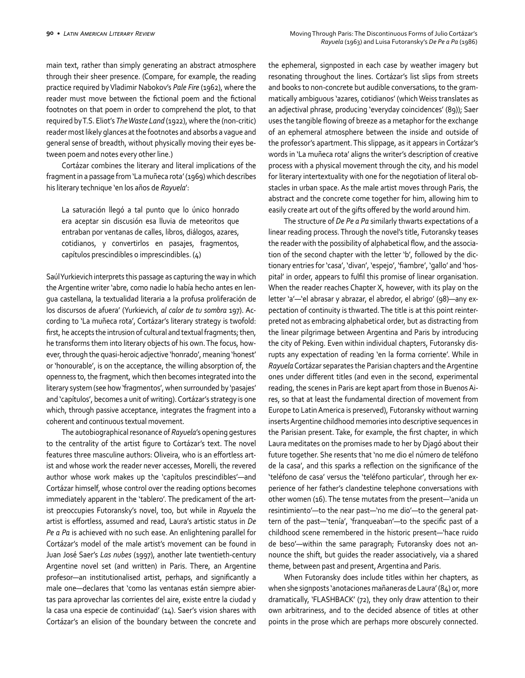main text, rather than simply generating an abstract atmosphere through their sheer presence. (Compare, for example, the reading practice required by Vladimir Nabokov's *Pale Fire* (1962), where the reader must move between the fictional poem and the fictional footnotes on that poem in order to comprehend the plot, to that required by T.S. Eliot's *The Waste Land* (1922), where the (non-critic) reader most likely glances at the footnotes and absorbs a vague and general sense of breadth, without physically moving their eyes between poem and notes every other line.)

Cortázar combines the literary and literal implications of the fragment in a passage from 'La muñeca rota' (1969) which describes his literary technique 'en los años de *Rayuela*':

La saturación llegó a tal punto que lo único honrado era aceptar sin discusión esa lluvia de meteoritos que entraban por ventanas de calles, libros, diálogos, azares, cotidianos, y convertirlos en pasajes, fragmentos, capítulos prescindibles o imprescindibles. (4)

Saúl Yurkievich interprets this passage as capturing the way in which the Argentine writer 'abre, como nadie lo había hecho antes en lengua castellana, la textualidad literaria a la profusa proliferación de los discursos de afuera' (Yurkievich, *al calor de tu sombra* 197). According to 'La muñeca rota', Cortázar's literary strategy is twofold: first, he accepts the intrusion of cultural and textual fragments; then, he transforms them into literary objects of his own. The focus, however, through the quasi-heroic adjective 'honrado', meaning 'honest' or 'honourable', is on the acceptance, the willing absorption of, the openness to, the fragment, which then becomes integrated into the literary system (see how 'fragmentos', when surrounded by 'pasajes' and 'capítulos', becomes a unit of writing). Cortázar's strategy is one which, through passive acceptance, integrates the fragment into a coherent and continuous textual movement.

The autobiographical resonance of *Rayuela*'s opening gestures to the centrality of the artist figure to Cortázar's text. The novel features three masculine authors: Oliveira, who is an effortless artist and whose work the reader never accesses, Morelli, the revered author whose work makes up the 'capítulos prescindibles'—and Cortázar himself, whose control over the reading options becomes immediately apparent in the 'tablero'. The predicament of the artist preoccupies Futoransky's novel, too, but while in *Rayuela* the artist is effortless, assumed and read, Laura's artistic status in *De Pe a Pa* is achieved with no such ease. An enlightening parallel for Cortázar's model of the male artist's movement can be found in Juan José Saer's *Las nubes* (1997), another late twentieth-century Argentine novel set (and written) in Paris. There, an Argentine profesor—an institutionalised artist, perhaps, and significantly a male one—declares that 'como las ventanas están siempre abiertas para aprovechar las corrientes del aire, existe entre la ciudad y la casa una especie de continuidad' (14). Saer's vision shares with Cortázar's an elision of the boundary between the concrete and

the ephemeral, signposted in each case by weather imagery but resonating throughout the lines. Cortázar's list slips from streets and books to non-concrete but audible conversations, to the grammatically ambiguous 'azares, cotidianos' (which Weiss translates as an adjectival phrase, producing 'everyday coincidences' (89)); Saer uses the tangible flowing of breeze as a metaphor for the exchange of an ephemeral atmosphere between the inside and outside of the professor's apartment. This slippage, as it appears in Cortázar's words in 'La muñeca rota' aligns the writer's description of creative process with a physical movement through the city, and his model for literary intertextuality with one for the negotiation of literal obstacles in urban space. As the male artist moves through Paris, the abstract and the concrete come together for him, allowing him to easily create art out of the gifts offered by the world around him.

The structure of *De Pe a Pa* similarly thwarts expectations of a linear reading process. Through the novel's title, Futoransky teases the reader with the possibility of alphabetical flow, and the association of the second chapter with the letter 'b', followed by the dictionary entries for 'casa', 'divan', 'espejo', 'fiambre', 'gallo' and 'hospital' in order, appears to fulfil this promise of linear organisation. When the reader reaches Chapter X, however, with its play on the letter 'a'—'el abrasar y abrazar, el abredor, el abrigo' (98)—any expectation of continuity is thwarted. The title is at this point reinterpreted not as embracing alphabetical order, but as distracting from the linear pilgrimage between Argentina and Paris by introducing the city of Peking. Even within individual chapters, Futoransky disrupts any expectation of reading 'en la forma corriente'. While in *Rayuela* Cortázar separates the Parisian chapters and the Argentine ones under different titles (and even in the second, experimental reading, the scenes in Paris are kept apart from those in Buenos Aires, so that at least the fundamental direction of movement from Europe to Latin America is preserved), Futoransky without warning inserts Argentine childhood memories into descriptive sequences in the Parisian present. Take, for example, the first chapter, in which Laura meditates on the promises made to her by Djagó about their future together. She resents that 'no me dio el número de teléfono de la casa', and this sparks a reflection on the significance of the 'teléfono de casa' versus the 'teléfono particular', through her experience of her father's clandestine telephone conversations with other women (16). The tense mutates from the present—'anida un resintimiento'—to the near past—'no me dio'—to the general pattern of the past—'tenía', 'franqueaban'—to the specific past of a childhood scene remembered in the historic present—'hace ruido de beso'—within the same paragraph; Futoransky does not announce the shift, but guides the reader associatively, via a shared theme, between past and present, Argentina and Paris.

When Futoransky does include titles within her chapters, as when she signposts 'anotaciones mañaneras de Laura' (84) or, more dramatically, 'FLASHBACK' (72), they only draw attention to their own arbitrariness, and to the decided absence of titles at other points in the prose which are perhaps more obscurely connected.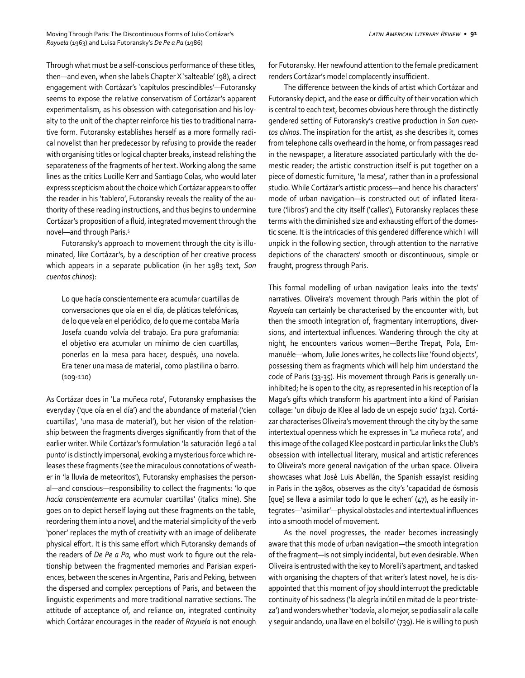Through what must be a self-conscious performance of these titles, then—and even, when she labels Chapter X 'salteable' (98), a direct engagement with Cortázar's 'capítulos prescindibles'—Futoransky seems to expose the relative conservatism of Cortázar's apparent experimentalism, as his obsession with categorisation and his loyalty to the unit of the chapter reinforce his ties to traditional narrative form. Futoransky establishes herself as a more formally radical novelist than her predecessor by refusing to provide the reader with organising titles or logical chapter breaks, instead relishing the separateness of the fragments of her text. Working along the same lines as the critics Lucille Kerr and Santiago Colas, who would later express scepticism about the choice which Cortázar appears to offer the reader in his 'tablero', Futoransky reveals the reality of the authority of these reading instructions, and thus begins to undermine Cortázar's proposition of a fluid, integrated movement through the novel—and through Paris.5

Futoransky's approach to movement through the city is illuminated, like Cortázar's, by a description of her creative process which appears in a separate publication (in her 1983 text, *Son cuentos chinos*):

Lo que hacía conscientemente era acumular cuartillas de conversaciones que oía en el día, de pláticas telefónicas, de lo que veía en el periódico, de lo que me contaba María Josefa cuando volvía del trabajo. Era pura grafomanía: el objetivo era acumular un mínimo de cien cuartillas, ponerlas en la mesa para hacer, después, una novela. Era tener una masa de material, como plastilina o barro. (109-110)

As Cortázar does in 'La muñeca rota', Futoransky emphasises the everyday ('que oía en el día') and the abundance of material ('cien cuartillas', 'una masa de material'), but her vision of the relationship between the fragments diverges significantly from that of the earlier writer. While Cortázar's formulation 'la saturación llegó a tal punto' is distinctly impersonal, evoking a mysterious force which releases these fragments (see the miraculous connotations of weather in 'la lluvia de meteoritos'), Futoransky emphasises the personal—and conscious—responsibility to collect the fragments: 'lo que *hacía conscientemente* era acumular cuartillas' (italics mine). She goes on to depict herself laying out these fragments on the table, reordering them into a novel, and the material simplicity of the verb 'poner' replaces the myth of creativity with an image of deliberate physical effort. It is this same effort which Futoransky demands of the readers of *De Pe a Pa*, who must work to figure out the relationship between the fragmented memories and Parisian experiences, between the scenes in Argentina, Paris and Peking, between the dispersed and complex perceptions of Paris, and between the linguistic experiments and more traditional narrative sections. The attitude of acceptance of, and reliance on, integrated continuity which Cortázar encourages in the reader of *Rayuela* is not enough for Futoransky. Her newfound attention to the female predicament renders Cortázar's model complacently insufficient.

The difference between the kinds of artist which Cortázar and Futoransky depict, and the ease or difficulty of their vocation which is central to each text, becomes obvious here through the distinctly gendered setting of Futoransky's creative production in *Son cuentos chinos*. The inspiration for the artist, as she describes it, comes from telephone calls overheard in the home, or from passages read in the newspaper, a literature associated particularly with the domestic reader; the artistic construction itself is put together on a piece of domestic furniture, 'la mesa', rather than in a professional studio. While Cortázar's artistic process—and hence his characters' mode of urban navigation—is constructed out of inflated literature ('libros') and the city itself ('calles'), Futoransky replaces these terms with the diminished size and exhausting effort of the domestic scene. It is the intricacies of this gendered difference which I will unpick in the following section, through attention to the narrative depictions of the characters' smooth or discontinuous, simple or fraught, progress through Paris.

This formal modelling of urban navigation leaks into the texts' narratives. Oliveira's movement through Paris within the plot of *Rayuela* can certainly be characterised by the encounter with, but then the smooth integration of, fragmentary interruptions, diversions, and intertextual influences. Wandering through the city at night, he encounters various women—Berthe Trepat, Pola, Emmanuèle—whom, Julie Jones writes, he collects like 'found objects', possessing them as fragments which will help him understand the code of Paris (33-35). His movement through Paris is generally uninhibited; he is open to the city, as represented in his reception of la Maga's gifts which transform his apartment into a kind of Parisian collage: 'un dibujo de Klee al lado de un espejo sucio' (132). Cortázar characterises Oliveira's movement through the city by the same intertextual openness which he expresses in 'La muñeca rota', and this image of the collaged Klee postcard in particular links the Club's obsession with intellectual literary, musical and artistic references to Oliveira's more general navigation of the urban space. Oliveira showcases what José Luis Abellán, the Spanish essayist residing in Paris in the 1980s, observes as the city's 'capacidad de ósmosis [que] se lleva a asimilar todo lo que le echen' (47), as he easily integrates—'asimiliar'—physical obstacles and intertextual influences into a smooth model of movement.

As the novel progresses, the reader becomes increasingly aware that this mode of urban navigation—the smooth integration of the fragment—is not simply incidental, but even desirable. When Oliveira is entrusted with the key to Morelli's apartment, and tasked with organising the chapters of that writer's latest novel, he is disappointed that this moment of joy should interrupt the predictable continuity of his sadness ('la alegría inútil en mitad de la peor tristeza') and wonders whether 'todavía, a lo mejor, se podía salir a la calle y seguir andando, una llave en el bolsillo' (739). He is willing to push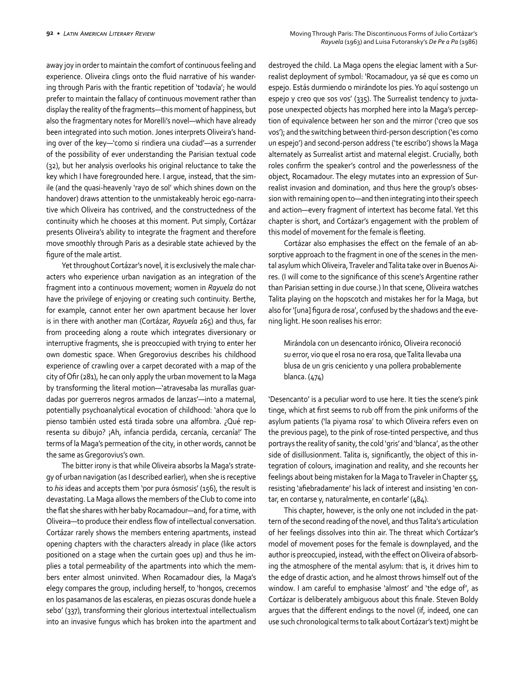away joy in order to maintain the comfort of continuous feeling and experience. Oliveira clings onto the fluid narrative of his wandering through Paris with the frantic repetition of 'todavía'; he would prefer to maintain the fallacy of continuous movement rather than display the reality of the fragments—this moment of happiness, but also the fragmentary notes for Morelli's novel—which have already been integrated into such motion. Jones interprets Oliveira's handing over of the key—'como si rindiera una ciudad'—as a surrender of the possibility of ever understanding the Parisian textual code (32), but her analysis overlooks his original reluctance to take the key which I have foregrounded here. I argue, instead, that the simile (and the quasi-heavenly 'rayo de sol' which shines down on the handover) draws attention to the unmistakeably heroic ego-narrative which Oliveira has contrived, and the constructedness of the continuity which he chooses at this moment. Put simply, Cortázar presents Oliveira's ability to integrate the fragment and therefore move smoothly through Paris as a desirable state achieved by the figure of the male artist.

Yet throughout Cortázar's novel, it is exclusively the male characters who experience urban navigation as an integration of the fragment into a continuous movement; women in *Rayuela* do not have the privilege of enjoying or creating such continuity. Berthe, for example, cannot enter her own apartment because her lover is in there with another man (Cortázar, *Rayuela* 265) and thus, far from proceeding along a route which integrates diversionary or interruptive fragments, she is preoccupied with trying to enter her own domestic space. When Gregorovius describes his childhood experience of crawling over a carpet decorated with a map of the city of Ofir (281), he can only apply the urban movement to la Maga by transforming the literal motion—'atravesaba las murallas guardadas por guerreros negros armados de lanzas'—into a maternal, potentially psychoanalytical evocation of childhood: 'ahora que lo pienso también usted está tirada sobre una alfombra. ¿Qué representa su dibujo? ¡Ah, infancia perdida, cercanía, cercanía!' The terms of la Maga's permeation of the city, in other words, cannot be the same as Gregorovius's own.

The bitter irony is that while Oliveira absorbs la Maga's strategy of urban navigation (as I described earlier), when she is receptive to *his* ideas and accepts them 'por pura ósmosis' (156), the result is devastating. La Maga allows the members of the Club to come into the flat she shares with her baby Rocamadour—and, for a time, with Oliveira—to produce their endless flow of intellectual conversation. Cortázar rarely shows the members entering apartments, instead opening chapters with the characters already in place (like actors positioned on a stage when the curtain goes up) and thus he implies a total permeability of the apartments into which the members enter almost uninvited. When Rocamadour dies, la Maga's elegy compares the group, including herself, to 'hongos, crecemos en los pasamanos de las escaleras, en piezas oscuras donde huele a sebo' (337), transforming their glorious intertextual intellectualism into an invasive fungus which has broken into the apartment and

destroyed the child. La Maga opens the elegiac lament with a Surrealist deployment of symbol: 'Rocamadour, ya sé que es como un espejo. Estás durmiendo o mirándote los pies. Yo aquí sostengo un espejo y creo que sos vos' (335). The Surrealist tendency to juxtapose unexpected objects has morphed here into la Maga's perception of equivalence between her son and the mirror ('creo que sos vos'); and the switching between third-person description ('es como un espejo') and second-person address ('te escribo') shows la Maga alternately as Surrealist artist and maternal elegist. Crucially, both roles confirm the speaker's control and the powerlessness of the object, Rocamadour. The elegy mutates into an expression of Surrealist invasion and domination, and thus here the group's obsession with remaining open to—and then integrating into their speech and action—every fragment of intertext has become fatal. Yet this chapter is short, and Cortázar's engagement with the problem of this model of movement for the female is fleeting.

Cortázar also emphasises the effect on the female of an absorptive approach to the fragment in one of the scenes in the mental asylum which Oliveira, Traveler and Talita take over in Buenos Aires. (I will come to the significance of this scene's Argentine rather than Parisian setting in due course.) In that scene, Oliveira watches Talita playing on the hopscotch and mistakes her for la Maga, but also for '[una] figura de rosa', confused by the shadows and the evening light. He soon realises his error:

Mirándola con un desencanto irónico, Oliveira reconoció su error, vio que el rosa no era rosa, que Talita llevaba una blusa de un gris ceniciento y una pollera probablemente blanca. (474)

'Desencanto' is a peculiar word to use here. It ties the scene's pink tinge, which at first seems to rub off from the pink uniforms of the asylum patients ('la piyama rosa' to which Oliveira refers even on the previous page), to the pink of rose-tinted perspective, and thus portrays the reality of sanity, the cold 'gris' and 'blanca', as the other side of disillusionment. Talita is, significantly, the object of this integration of colours, imagination and reality, and she recounts her feelings about being mistaken for la Maga to Traveler in Chapter 55, resisting 'afiebradamente' his lack of interest and insisting 'en contar, en contarse y, naturalmente, en contarle' (484).

This chapter, however, is the only one not included in the pattern of the second reading of the novel, and thus Talita's articulation of her feelings dissolves into thin air. The threat which Cortázar's model of movement poses for the female is downplayed, and the author is preoccupied, instead, with the effect on Oliveira of absorbing the atmosphere of the mental asylum: that is, it drives him to the edge of drastic action, and he almost throws himself out of the window. I am careful to emphasise 'almost' and 'the edge of', as Cortázar is deliberately ambiguous about this finale. Steven Boldy argues that the different endings to the novel (if, indeed, one can use such chronological terms to talk about Cortázar's text) might be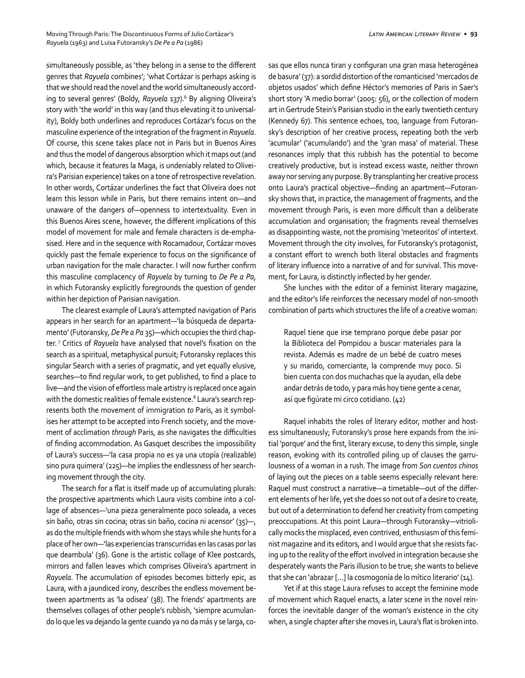simultaneously possible, as 'they belong in a sense to the different genres that *Rayuela* combines'; 'what Cortázar is perhaps asking is that we should read the novel and the world simultaneously according to several genres' (Boldy, Rayuela 137).<sup>6</sup> By aligning Oliveira's story with 'the world' in this way (and thus elevating it to universality), Boldy both underlines and reproduces Cortázar's focus on the masculine experience of the integration of the fragment in *Rayuela*. Of course, this scene takes place not in Paris but in Buenos Aires and thus the model of dangerous absorption which it maps out (and which, because it features la Maga, is undeniably related to Oliveira's Parisian experience) takes on a tone of retrospective revelation. In other words, Cortázar underlines the fact that Oliveira does not learn this lesson while in Paris, but there remains intent on—and unaware of the dangers of—openness to intertextuality. Even in this Buenos Aires scene, however, the different implications of this model of movement for male and female characters is de-emphasised. Here and in the sequence with Rocamadour, Cortázar moves quickly past the female experience to focus on the significance of urban navigation for the male character. I will now further confirm this masculine complacency of *Rayuela* by turning to *De Pe a Pa*, in which Futoransky explicitly foregrounds the question of gender within her depiction of Parisian navigation.

The clearest example of Laura's attempted navigation of Paris appears in her search for an apartment—'la búsqueda de departamento' (Futoransky, *De Pe a Pa* 35)—which occupies the third chapter. 7 Critics of *Rayuela* have analysed that novel's fixation on the search as a spiritual, metaphysical pursuit; Futoransky replaces this singular Search with a series of pragmatic, and yet equally elusive, searches—to find regular work, to get published, to find a place to live—and the vision of effortless male artistry is replaced once again with the domestic realities of female existence.<sup>8</sup> Laura's search represents both the movement of immigration *to* Paris, as it symbolises her attempt to be accepted into French society, and the movement of acclimation *through* Paris, as she navigates the difficulties of finding accommodation. As Gasquet describes the impossibility of Laura's success—'la casa propia no es ya una utopía (realizable) sino pura quimera' (225)—he implies the endlessness of her searching movement through the city.

The search for a flat is itself made up of accumulating plurals: the prospective apartments which Laura visits combine into a collage of absences—'una pieza generalmente poco soleada, a veces sin baño, otras sin cocina; otras sin baño, cocina ni acensor' (35)—, as do the multiple friends with whom she stays while she hunts for a place of her own—'las experiencias transcurridas en las casas por las que deambula' (36). Gone is the artistic collage of Klee postcards, mirrors and fallen leaves which comprises Oliveira's apartment in *Rayuela*. The accumulation of episodes becomes bitterly epic, as Laura, with a jaundiced irony, describes the endless movement between apartments as 'la odisea' (38). The friends' apartments are themselves collages of other people's rubbish, 'siempre acumulando lo que les va dejando la gente cuando ya no da más y se larga, cosas que ellos nunca tiran y configuran una gran masa heterogénea de basura' (37): a sordid distortion of the romanticised 'mercados de objetos usados' which define Héctor's memories of Paris in Saer's short story 'A medio borrar' (2005: 56), or the collection of modern art in Gertrude Stein's Parisian studio in the early twentieth century (Kennedy 67). This sentence echoes, too, language from Futoransky's description of her creative process, repeating both the verb 'acumular' ('acumulando') and the 'gran masa' of material. These resonances imply that this rubbish has the potential to become creatively productive, but is instead excess waste, neither thrown away nor serving any purpose. By transplanting her creative process onto Laura's practical objective—finding an apartment—Futoransky shows that, in practice, the management of fragments, and the movement through Paris, is even more difficult than a deliberate accumulation and organisation; the fragments reveal themselves as disappointing waste, not the promising 'meteoritos' of intertext. Movement through the city involves, for Futoransky's protagonist, a constant effort to wrench both literal obstacles and fragments of literary influence into a narrative of and for survival. This movement, for Laura, is distinctly inflected by her gender.

She lunches with the editor of a feminist literary magazine, and the editor's life reinforces the necessary model of non-smooth combination of parts which structures the life of a creative woman:

Raquel tiene que irse temprano porque debe pasar por la Biblioteca del Pompidou a buscar materiales para la revista. Además es madre de un bebé de cuatro meses y su marido, comerciante, la comprende muy poco. Si bien cuenta con dos muchachas que la ayudan, ella debe andar detrás de todo, y para más hoy tiene gente a cenar, así que figúrate mi circo cotidiano. (42)

Raquel inhabits the roles of literary editor, mother and hostess simultaneously; Futoransky's prose here expands from the initial 'porque' and the first, literary excuse, to deny this simple, single reason, evoking with its controlled piling up of clauses the garrulousness of a woman in a rush. The image from *Son cuentos chinos* of laying out the pieces on a table seems especially relevant here: Raquel must construct a narrative—a timetable—out of the different elements of her life, yet she does so not out of a desire to create, but out of a determination to defend her creativity from competing preoccupations. At this point Laura—through Futoransky—vitriolically mocks the misplaced, even contrived, enthusiasm of this feminist magazine and its editors, and I would argue that she resists facing up to the reality of the effort involved in integration because she desperately wants the Paris illusion to be true; she wants to believe that she can 'abrazar […] la cosmogonía de lo mítico literario' (14).

Yet if at this stage Laura refuses to accept the feminine mode of movement which Raquel enacts, a later scene in the novel reinforces the inevitable danger of the woman's existence in the city when, a single chapter after she moves in, Laura's flat is broken into.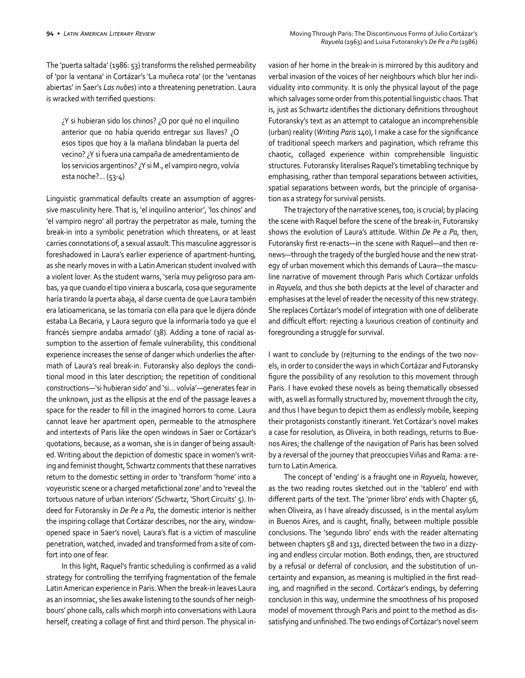The 'puerta saltada' (1986: 53) transforms the relished permeability of 'por la ventana' in Cortázar's 'La muñeca rota' (or the 'ventanas abiertas' in Saer's *Las nubes*) into a threatening penetration. Laura is wracked with terrified questions:

¿Y si hubieran sido los chinos? ¿O por qué no el inquilino anterior que no había querido entregar sus llaves? ¿O esos tipos que hoy a la mañana blindaban la puerta del vecino? ¿Y si fuera una campaña de amedrentamiento de los servicios argentinos? ¿Y si M., el vampiro negro, volvía esta noche?... (53-4)

Linguistic grammatical defaults create an assumption of aggressive masculinity here. That is, 'el inquilino anterior', 'los chinos' and 'el vampiro negro' all portray the perpetrator as male, turning the break-in into a symbolic penetration which threatens, or at least carries connotations of, a sexual assault. This masculine aggressor is foreshadowed in Laura's earlier experience of apartment-hunting, as she nearly moves in with a Latin American student involved with a violent lover. As the student warns, 'sería muy peligroso para ambas, ya que cuando el tipo viniera a buscarla, cosa que seguramente haría tirando la puerta abaja, al darse cuenta de que Laura también era latioamericana, se las tomaría con ella para que le dijera dónde estaba La Becaria, y Laura seguro que la informaría todo ya que el francés siempre andaba armado' (38). Adding a tone of racial assumption to the assertion of female vulnerability, this conditional experience increases the sense of danger which underlies the aftermath of Laura's real break-in. Futoransky also deploys the conditional mood in this later description; the repetition of conditional constructions—'si hubieran sido' and 'si… volvía'—generates fear in the unknown, just as the ellipsis at the end of the passage leaves a space for the reader to fill in the imagined horrors to come. Laura cannot leave her apartment open, permeable to the atmosphere and intertexts of Paris like the open windows in Saer or Cortázar's quotations, because, as a woman, she is in danger of being assaulted. Writing about the depiction of domestic space in women's writing and feminist thought, Schwartz comments that these narratives return to the domestic setting in order to 'transform 'home' into a voyeuristic scene or a charged metafictional zone' and to 'reveal the tortuous nature of urban interiors' (Schwartz, 'Short Circuits' 5). Indeed for Futoransky in *De Pe a Pa*, the domestic interior is neither the inspiring collage that Cortázar describes, nor the airy, windowopened space in Saer's novel; Laura's flat is a victim of masculine penetration, watched, invaded and transformed from a site of comfort into one of fear.

In this light, Raquel's frantic scheduling is confirmed as a valid strategy for controlling the terrifying fragmentation of the female Latin American experience in Paris. When the break-in leaves Laura as an insomniac, she lies awake listening to the sounds of her neighbours' phone calls, calls which morph into conversations with Laura herself, creating a collage of first and third person. The physical invasion of her home in the break-in is mirrored by this auditory and verbal invasion of the voices of her neighbours which blur her individuality into community. It is only the physical layout of the page which salvages some order from this potential linguistic chaos. That is, just as Schwartz identifies the dictionary definitions throughout Futoransky's text as an attempt to catalogue an incomprehensible (urban) reality (*Writing Paris* 140), I make a case for the significance of traditional speech markers and pagination, which reframe this chaotic, collaged experience within comprehensible linguistic structures. Futoransky literalises Raquel's timetabling technique by emphasising, rather than temporal separations between activities, spatial separations between words, but the principle of organisation as a strategy for survival persists.

The trajectory of the narrative scenes, too, is crucial; by placing the scene with Raquel before the scene of the break-in, Futoransky shows the evolution of Laura's attitude. Within *De Pe a Pa*, then, Futoransky first re-enacts—in the scene with Raquel—and then renews—through the tragedy of the burgled house and the new strategy of urban movement which this demands of Laura—the masculine narrative of movement through Paris which Cortázar unfolds in *Rayuela*, and thus she both depicts at the level of character and emphasises at the level of reader the necessity of this new strategy. She replaces Cortázar's model of integration with one of deliberate and difficult effort: rejecting a luxurious creation of continuity and foregrounding a struggle for survival.

I want to conclude by (re)turning to the endings of the two novels, in order to consider the ways in which Cortázar and Futoransky figure the possibility of any resolution to this movement through Paris. I have evoked these novels as being thematically obsessed with, as well as formally structured by, movement through the city, and thus I have begun to depict them as endlessly mobile, keeping their protagonists constantly itinerant. Yet Cortázar's novel makes a case for resolution, as Oliveira, in both readings, returns to Buenos Aires; the challenge of the navigation of Paris has been solved by a reversal of the journey that preoccupies Viñas and Rama: a return to Latin America.

The concept of 'ending' is a fraught one in *Rayuela*, however, as the two reading routes sketched out in the 'tablero' end with different parts of the text. The 'primer libro' ends with Chapter 56, when Oliveira, as I have already discussed, is in the mental asylum in Buenos Aires, and is caught, finally, between multiple possible conclusions. The 'segundo libro' ends with the reader alternating between chapters 58 and 131, directed between the two in a dizzying and endless circular motion. Both endings, then, are structured by a refusal or deferral of conclusion, and the substitution of uncertainty and expansion, as meaning is multiplied in the first reading, and magnified in the second. Cortázar's endings, by deferring conclusion in this way, undermine the smoothness of his proposed model of movement through Paris and point to the method as dissatisfying and unfinished. The two endings of Cortázar's novel seem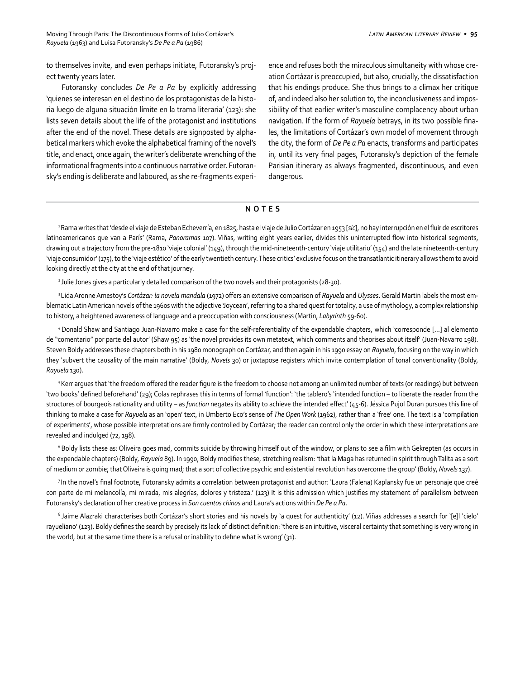to themselves invite, and even perhaps initiate, Futoransky's project twenty years later.

Futoransky concludes *De Pe a Pa* by explicitly addressing 'quienes se interesan en el destino de los protagonistas de la historia luego de alguna situación límite en la trama literaria' (123): she lists seven details about the life of the protagonist and institutions after the end of the novel. These details are signposted by alphabetical markers which evoke the alphabetical framing of the novel's title, and enact, once again, the writer's deliberate wrenching of the informational fragments into a continuous narrative order. Futoransky's ending is deliberate and laboured, as she re-fragments experience and refuses both the miraculous simultaneity with whose creation Cortázar is preoccupied, but also, crucially, the dissatisfaction that his endings produce. She thus brings to a climax her critique of, and indeed also her solution to, the inconclusiveness and impossibility of that earlier writer's masculine complacency about urban navigation. If the form of *Rayuela* betrays, in its two possible finales, the limitations of Cortázar's own model of movement through the city, the form of *De Pe a Pa* enacts, transforms and participates in, until its very final pages, Futoransky's depiction of the female Parisian itinerary as always fragmented, discontinuous, and even dangerous.

## **NOTES**

1 Rama writes that 'desde el viaje de Esteban Echeverría, en 1825, hasta el viaje de Julio Cortázar en 1953 [*sic*], no hay interrupción en el fluir de escritores latinoamericanos que van a París' (Rama, *Panoramas* 107). Viñas, writing eight years earlier, divides this uninterrupted flow into historical segments, drawing out a trajectory from the pre-1810 'viaje colonial' (149), through the mid-nineteenth-century 'viaje utilitario' (154) and the late nineteenth-century 'viaje consumidor' (175), to the 'viaje estético' of the early twentieth century. These critics' exclusive focus on the transatlantic itinerary allows them to avoid looking directly at the city at the end of that journey.

2 Julie Jones gives a particularly detailed comparison of the two novels and their protagonists (28-30).

3 Lida Aronne Amestoy's *Cortázar: la novela mandala* (1972) offers an extensive comparison of *Rayuela* and *Ulysses*. Gerald Martin labels the most emblematic Latin American novels of the 1960s with the adjective 'Joycean', referring to a shared quest for totality, a use of mythology, a complex relationship to history, a heightened awareness of language and a preoccupation with consciousness (Martin, *Labyrinth* 59-60).

4 Donald Shaw and Santiago Juan-Navarro make a case for the self-referentiality of the expendable chapters, which 'corresponde […] al elemento de "comentario" por parte del autor' (Shaw 95) as 'the novel provides its own metatext, which comments and theorises about itself' (Juan-Navarro 198). Steven Boldy addresses these chapters both in his 1980 monograph on Cortázar, and then again in his 1990 essay on *Rayuela*, focusing on the way in which they 'subvert the causality of the main narrative' (Boldy, *Novels* 30) or juxtapose registers which invite contemplation of tonal conventionality (Boldy, *Rayuela* 130).

<sup>5</sup>Kerr argues that 'the freedom offered the reader figure is the freedom to choose not among an unlimited number of texts (or readings) but between 'two books' defined beforehand' (29); Colas rephrases this in terms of formal 'function': 'the tablero's 'intended function – to liberate the reader from the structures of bourgeois rationality and utility – as *function* negates its ability to achieve the intended effect' (45-6). Jéssica Pujol Duran pursues this line of thinking to make a case for *Rayuela* as an 'open' text, in Umberto Eco's sense of *The Open Work* (1962), rather than a 'free' one. The text is a 'compilation of experiments', whose possible interpretations are firmly controlled by Cortázar; the reader can control only the order in which these interpretations are revealed and indulged (72, 198).

<sup>6</sup> Boldy lists these as: Oliveira goes mad, commits suicide by throwing himself out of the window, or plans to see a film with Gekrepten (as occurs in the expendable chapters) (Boldy, *Rayuela* 89). In 1990, Boldy modifies these, stretching realism: 'that la Maga has returned in spirit through Talita as a sort of medium or zombie; that Oliveira is going mad; that a sort of collective psychic and existential revolution has overcome the group' (Boldy, *Novels* 137).

<sup>7</sup>In the novel's final footnote, Futoransky admits a correlation between protagonist and author: 'Laura (Falena) Kaplansky fue un personaje que creé con parte de mi melancolía, mi mirada, mis alegrías, dolores y tristeza.' (123) It is this admission which justifies my statement of parallelism between Futoransky's declaration of her creative process in *Son cuentos chinos* and Laura's actions within *De Pe a Pa*.

<sup>8</sup> Jaime Alazraki characterises both Cortázar's short stories and his novels by 'a quest for authenticity' (12). Viñas addresses a search for '[e]l 'cielo' rayueliano' (123). Boldy defines the search by precisely its lack of distinct definition: 'there is an intuitive, visceral certainty that something is very wrong in the world, but at the same time there is a refusal or inability to define what is wrong' (31).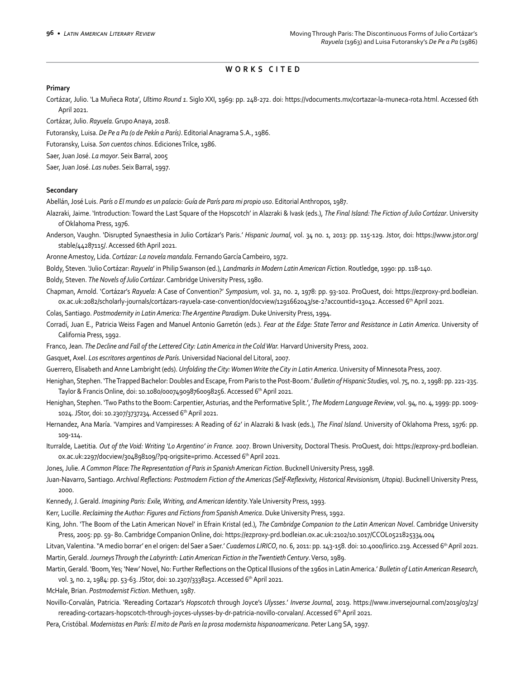## **WORKS CITED**

### **Primary**

Cortázar, Julio. 'La Muñeca Rota', *Ultimo Round 1*. Siglo XXI, 1969: pp. 248-272. doi: https://vdocuments.mx/cortazar-la-muneca-rota.html. Accessed 6th April 2021.

Cortázar, Julio. *Rayuela*. Grupo Anaya, 2018.

Futoransky, Luisa. *De Pe a Pa (o de Pekín a París)*. Editorial Anagrama S.A., 1986.

Futoransky, Luisa. *Son cuentos chinos*. Ediciones Trilce, 1986.

Saer, Juan José. *La mayor*. Seix Barral, 2005

Saer, Juan José. *Las nubes*. Seix Barral, 1997.

### **Secondary**

Abellán, José Luis. *París o El mundo es un palacio: Guía de París para mi propio uso*. Editorial Anthropos, 1987.

Alazraki, Jaime. 'Introduction: Toward the Last Square of the Hopscotch' in Alazraki & Ivask (eds.), *The Final Island: The Fiction of Julio Cortázar*. University of Oklahoma Press, 1976.

Anderson, Vaughn. 'Disrupted Synaesthesia in Julio Cortázar's Paris.' *Hispanic Journal*, vol. 34 no. 1, 2013: pp. 115-129. Jstor, doi: https://www.jstor.org/ stable/44287115/. Accessed 6th April 2021.

Aronne Amestoy, Lida. *Cortázar: La novela mandala*. Fernando García Cambeiro, 1972.

Boldy, Steven. 'Julio Cortázar: *Rayuela*' in Philip Swanson (ed.), *Landmarks in Modern Latin American Fiction*. Routledge, 1990: pp. 118-140.

Boldy, Steven. *The Novels of Julio Cortázar*. Cambridge University Press, 1980.

Chapman, Arnold. 'Cortázar's *Rayuela*: A Case of Convention?' *Symposium*, vol. 32, no. 2, 1978: pp. 93-102. ProQuest, doi: https://ezproxy-prd.bodleian. ox.ac.uk:2082/scholarly-journals/cortázars-rayuela-case-convention/docview/1291662043/se-2?accountid=13042. Accessed 6th April 2021.

Colas, Santiago. *Postmodernity in Latin America: The Argentine Paradigm*. Duke University Press, 1994.

Corradí, Juan E., Patricia Weiss Fagen and Manuel Antonio Garretón (eds.). *Fear at the Edge: State Terror and Resistance in Latin America*. University of California Press, 1992.

Franco, Jean. The Decline and Fall of the Lettered City: Latin America in the Cold War. Harvard University Press, 2002.

Gasquet, Axel. *Los escritores argentinos de París*. Universidad Nacional del Litoral, 2007.

Guerrero, Elisabeth and Anne Lambright (eds). *Unfolding the City: Women Write the City in Latin America*. University of Minnesota Press, 2007.

Henighan, Stephen. 'The Trapped Bachelor: Doubles and Escape, From Paris to the Post-Boom.' *Bulletin of Hispanic Studies*, vol. 75, no. 2, 1998: pp. 221-235. Taylor & Francis Online, doi: 10.1080/000749098760098256. Accessed 6th April 2021.

Henighan, Stephen. 'Two Paths to the Boom: Carpentier, Asturias, and the Performative Split.', *The Modern Language Review*, vol. 94, no. 4, 1999: pp. 1009- 1024. JStor, doi: 10.2307/3737234. Accessed 6th April 2021.

Hernandez, Ana María. 'Vampires and Vampiresses: A Reading of *62*' in Alazraki & Ivask (eds.), *The Final Island*. University of Oklahoma Press, 1976: pp. 109-114.

Iturralde, Laetitia. *Out of the Void: Writing 'Lo Argentino' in France.* 2007. Brown University, Doctoral Thesis. ProQuest, doi: https://ezproxy-prd.bodleian. ox.ac.uk:2297/docview/304898109/?pq-origsite=primo. Accessed 6<sup>th</sup> April 2021.

Jones, Julie. *A Common Place: The Representation of Paris in Spanish American Fiction*. Bucknell University Press, 1998.

Juan-Navarro, Santiago. *Archival Reflections: Postmodern Fiction of the Americas (Self-Reflexivity, Historical Revisionism, Utopia)*. Bucknell University Press, 2000.

Kennedy, J. Gerald. *Imagining Paris: Exile, Writing, and American Identity*. Yale University Press, 1993.

Kerr, Lucille. *Reclaiming the Author: Figures and Fictions from Spanish America*. Duke University Press, 1992.

King, John. 'The Boom of the Latin American Novel' in Efrain Kristal (ed.), *The Cambridge Companion to the Latin American Novel*. Cambridge University Press, 2005: pp. 59- 80. Cambridge Companion Online, doi: https://ezproxy-prd.bodleian.ox.ac.uk:2102/10.1017/CCOL0521825334.004

Litvan, Valentina. ''A medio borrar' en el origen: del Saer a Saer.' *Cuadernos LIRICO*, no. 6, 2011: pp. 143-158. doi: 10.4000/lirico.219. Accessed 6th April 2021. Martin, Gerald. *Journeys Through the Labyrinth: Latin American Fiction in the Twentieth Century*. Verso, 1989.

Martin, Gerald. 'Boom, Yes; 'New' Novel, No: Further Reflections on the Optical Illusions of the 1960s in Latin America.' *Bulletin of Latin American Research*, vol. 3, no. 2, 1984: pp. 53-63. JStor, doi: 10.2307/3338252. Accessed 6th April 2021.

McHale, Brian. *Postmodernist Fiction*. Methuen, 1987.

Novillo-Corvalán, Patricia. 'Rereading Cortazar's *Hopscotch* through Joyce's *Ulysses*.' *Inverse Journal*, 2019. https://www.inversejournal.com/2019/03/23/ rereading-cortazars-hopscotch-through-joyces-ulysses-by-dr-patricia-novillo-corvalan/. Accessed 6th April 2021.

Pera, Cristóbal. *Modernistas en París: El mito de París en la prosa modernista hispanoamericana*. Peter Lang SA, 1997.